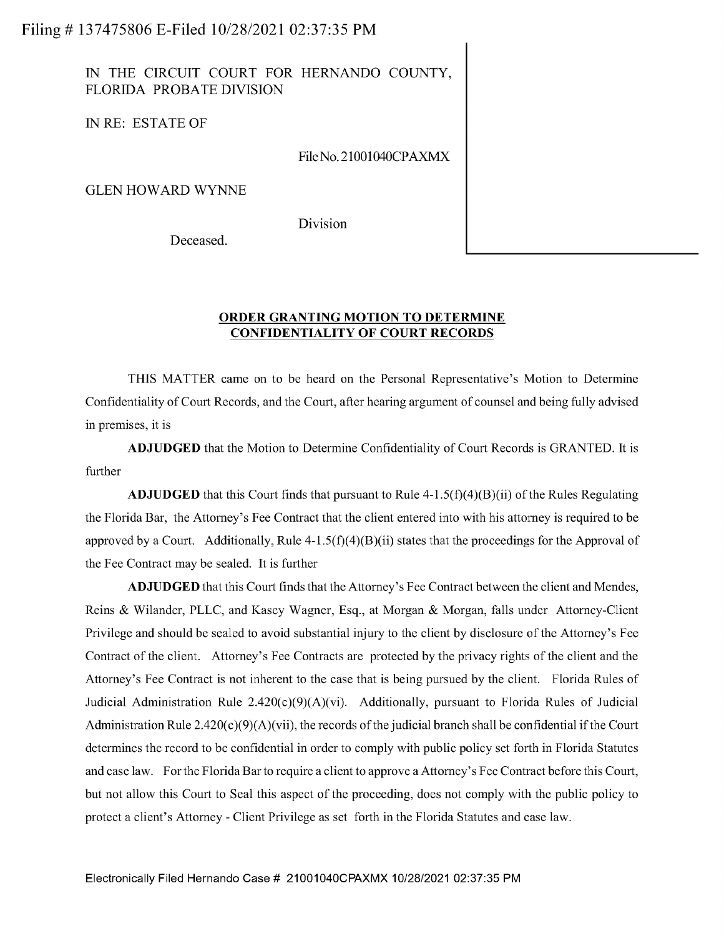IN THE CIRCUIT COURT FOR HERNANDO COUNTY, FLORIDA PROBATE DIVISION

IN RE: ESTATE OF

FileNo.21001040CPAXMX

**GLEN HOWARD WYNNE** 

Division

Deceased.

## **ORDER GRANTING MOTION TO DETERMINE CONFIDENTIALITY OF COURT RECORDS**

THIS MATTER came on to be heard on the Personal Representative's Motion to Determine Confidentiality of Court Records, and the Court, after hearing argument of counsel and being fully advised in premises, it is

**ADJUDGED** that the Motion to Determine Confidentiality of Court Records is GRANTED. It is further

**ADJUDGED** that this Court finds that pursuant to Rule  $4-1.5(f)(4)(B)(ii)$  of the Rules Regulating the Florida Bar, the Attorney's Fee Contract that the client entered into with his attorney is required to be approved by a Court. Additionally, Rule  $4-1.5(f)(4)(B)(ii)$  states that the proceedings for the Approval of the Fee Contract may be sealed. It is further

**ADJUDGED** that this Court finds that the Attorney's Fee Contract between the client and Mendes, Reins & Wilander, PLLC, and Kasey Wagner, Esq., at Morgan & Morgan, falls under Attorney-Client Privilege and should be sealed to avoid substantial injury to the client by disclosure of the Attorney's Fee Contract of the client. Attorney's Fee Contracts are protected by the privacy rights of the client and the Attorney's Fee Contract is not inherent to the case that is being pursued by the client. Florida Rules of Judicial Administration Rule 2.420(c)(9)(A)(vi). Additionally, pursuant to Florida Rules of Judicial Administration Rule  $2.420(c)(9)(A)(vii)$ , the records of the judicial branch shall be confidential if the Court determines the record to be confidential in order to comply with public policy set forth in Florida Statutes and case law. For the Florida Barto require a client to approve a Attorney's Fee Contract before this Court, but not allow this Court to Seal this aspect of the proceeding, does not comply with the public policy to protect a client's Attorney - Client Privilege as set forth in the Florida Statutes and case law.